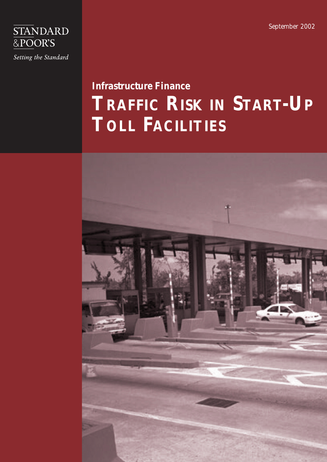September 2002



Setting the Standard

# *Infrastructure Finance TRAFFIC RISK IN START-UP TOLL FACILITIES*

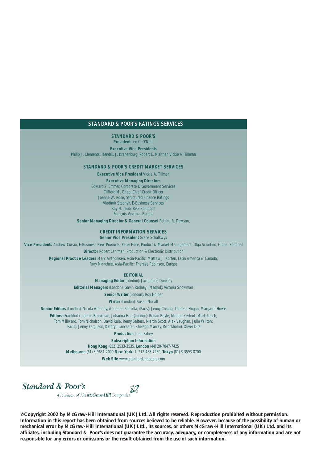# STANDARD & POOR'S RATINGS SERVICES

*STANDARD & POOR'S President* Leo C. O'Neill *Executive Vice Presidents* Philip J. Clements, Hendrik J. Kranenburg, Robert E. Maitner, Vickie A. Tillman

#### *STANDARD & POOR'S CREDIT MARKET SERVICES*

*Executive Vice President* Vickie A. Tillman *Executive Managing Directors* Edward Z. Emmer, *Corporate & Government Services* Clifford M. Griep, *Chief Credit Officer* Joanne W. Rose, *Structured Finance Ratings* Vladimir Stadnyk, *E-Business Services* Roy N. Taub, *Risk Solutions* François Veverka, *Europe*

**Senior Managing Director & General Counsel Petrina R. Dawson,** 

*CREDIT INFORMATION SERVICES Senior Vice President* Grace Schalkwyk

*Vice Presidents* Andrew Cursio, *E-Business New Products*; Peter Fiore, *Product & Market Management*; Olga Sciortino, *Global Editorial Director* Robert Lehrman, *Production & Electronic Distribution*

> *Regional Practice Leaders* Marc Anthonisen, *Asia-Pacific*; Mattew J. Korten, *Latin America & Canada*; Rory Manchee, *Asia-Pacific*; Therese Robinson, *Europe*

> > *EDITORIAL*

*Managing Editor* (London): Jacqueline Dunkley

*Editorial Managers* (London): Gavin Rodney; (Madrid): Victoria Snowman

*Senior Writer* (London): Roy Holder *Writer* (London): Susan Norvill

*Senior Editors* (London): Nicola Anthony, Adrienne Parrotta; (Paris): Jenny Chiang, Therese Hogan, Margaret Howe

*Editors* (Frankfurt): Jennie Brookman, Johanna Huf; (London): Rohan Boyle, Marion Kerfoot, Mark Leech,

Tom Millward, Tom Nicholson, David Rule, Remy Salters, Martin Scott, Alex Vaughan, Julie Wilton;

(Paris): Jenny Ferguson, Kathryn Lancaster, Shelagh Marray; (Stockholm): Oliver Dirs

# *Production Joan Fahey*

*Subscription Information Hong Kong* (852) 2533-3535, *London* (44) 20-7847-7425 *Melbourne* (61) 3-9631-2000 *New York* (1) 212-438-7280, *Tokyo* (81) 3-3593-8700

*Web Site* www.standardandpoors.com

**Standard & Poor's** 

A Division of The McGraw-Hill Companie.

*©Copyright 2002 by McGraw-Hill International (UK) Ltd. All rights reserved. Reproduction prohibited without permission. Information in this report has been obtained from sources believed to be reliable. However, because of the possibility of human or mechanical error by McGraw-Hill International (UK) Ltd., its sources, or others McGraw-Hill International (UK) Ltd. and its affiliates, including Standard & Poor's does not guarantee the accuracy, adequacy, or completeness of any information and are not responsible for any errors or omissions or the result obtained from the use of such information.*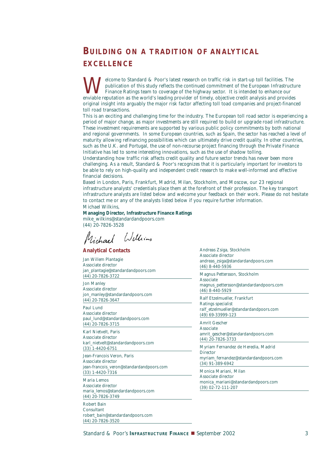# *BUILDING ON A TRADITION OF ANALYTICAL EXCELLENCE*

Welcome to Standard & Poor's latest research on traffic risk in start-up toll facilities. The publication of this study reflects the continued commitment of the European Infrastruct Finance Ratings team to coverage of the publication of this study reflects the continued commitment of the European Infrastructure Finance Ratings team to coverage of the highway sector. It is intended to enhance our enviable reputation as the world's leading provider of timely, objective credit analysis and provides original insight into arguably the major risk factor affecting toll toad companies and project-financed toll road transactions.

This is an exciting and challenging time for the industry. The European toll road sector is experiencing a period of major change, as major investments are still required to build or upgrade road infrastructure. These investment requirements are supported by various public policy commitments by both national and regional governments. In some European countries, such as Spain, the sector has reached a level of maturity allowing refinancing possibilities which can ultimately drive credit quality. In other countries, such as the U.K. and Portugal, the use of non-recourse project financing through the Private Finance Initiative has led to some interesting innovations, such as the use of shadow tolling.

Understanding how traffic risk affects credit quality and future sector trends has never been more challenging. As a result, Standard & Poor's recognizes that it is particularly important for investors to be able to rely on high-quality and independent credit research to make well-informed and effective financial decisions.

Based in London, Paris, Frankfurt, Madrid, Milan, Stockholm, and Moscow, our 23 regional infrastructure analysts' credentials place them at the forefront of their profession. The key transport infrastructure analysts are listed below and welcome your feedback on their work. Please do not hesitate to contact me or any of the analysts listed below if you require further information. Michael Wilkins,

*Managing Director, Infrastructure Finance Ratings*

mike\_wilkins@standardandpoors.com (44) 20-7826-3528

Prichael Williams

#### *Analytical Contacts*

Jan Willem Plantagie Associate director jan\_plantagie@standardandpoors.com (44) 20-7826-3722

Jon Manley Associate director jon\_manley@standardandpoors.com (44) 20-7826-3647

Paul Lund Associate director paul\_lund@standardandpoors.com (44) 20-7826-3715

Karl Nietvelt, Paris Associate director karl\_nietvelt@standardandpoors.com (33) 1-4420-6751

Jean-Francois Veron, Paris Associate director jean-francois\_veron@standardandpoors.com (33) 1-4420-7316

Maria Lemos Associate director maria\_lemos@standardandpoors.com (44) 20-7826-3749

Robert Bain Consultant robert\_bain@standardandpoors.com (44) 20-7826-3520

Andreas Zsiga, Stockholm Associate director andreas\_zsiga@standardandpoors.com (46) 8-440-5936

Magnus Pettersson, Stockholm Associate magnus\_pettersson@standardandpoors.com (46) 8-440-5929

Ralf Etzelmueller, Frankfurt Ratings specialist ralf\_etzelmueller@standardandpoors.com (49) 69-33999-123

Amrit Gescher Associate amrit\_gescher@standardandpoors.com (44) 20-7826-3733

Myriam Fernandez de Heredia, Madrid **Director** myriam\_fernandez@standardandpoors.com (34) 91-389-6942

Monica Mariani, Milan Associate director monica\_mariani@standardandpoors.com (39) 02-72-111-207

Standard & Poor's *INFRASTRUCTURE FINANCE* ■ September 2002 3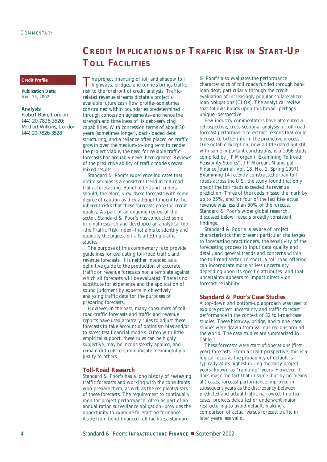# *CREDIT IMPLICATIONS OF TRAFFIC RISK IN START-UP TOLL FACILITIES*

#### *Credit Profile:*

*Publication Date:* Aug. 15, 2002

*Analysts:*

*Robert Bain, London (44) 20-7826-3520; Michael Wilkins, London (44) 20-7826-3528* 

The project financing of toll and shadow toll highways, bridges, and tunnels brings traffic risk to the forefront of credit analysis. Trafficrelated revenue streams dictate a project's available future cash flow profile--sometimes constrained within boundaries predetermined through concession agreements--and hence the strength and timeliness of its debt-servicing capabilities. With concession terms of about 30 years (sometimes longer), back-loaded debt structuring, and a reliance often placed on traffic growth over the medium-to-long term to render the project viable, the need for reliable traffic forecasts has arguably never been greater. Reviews of the predictive ability of traffic models reveal mixed results.

Standard & Poor's experience indicates that optimism bias is a consistent trend in toll-road traffic forecasting. Bondholders and lenders should, therefore, view these forecasts with some degree of caution as they attempt to identify the inherent risks that these forecasts pose for credit quality. As part of an ongoing review of the sector, Standard & Poor's has conducted some original research and developed an analytical tool- -the Traffic Risk Index--that aims to identify and quantify the biggest pitfalls affecting traffic studies.

The purpose of this commentary is to provide guidelines for evaluating toll-road traffic and revenue forecasts. It is neither intended as a definitive guide to the production of accurate traffic or revenue forecasts nor a template against which all forecasts will be evaluated. There is no substitute for experience and the application of sound judgment by experts in objectively analyzing traffic data for the purposes of preparing forecasts.

However, in the past, many consumers of tollroad-traffic forecasts and traffic and revenue reports have used arbitrary rules to adjust these forecasts to take account of optimism bias and/or to stress-test financial models. Often with little empirical support, these rules can be highly subjective, may be inconsistently applied, and remain difficult to communicate meaningfully or justify to others.

# *Toll-Road Research*

Standard & Poor's has a long history of reviewing traffic forecasts and working with the consultants who prepare them, as well as the recipients/users of these forecasts. The requirement to continually monitor project performance--often as part of an annual rating surveillance obligation--provides the opportunity to examine forecast performance. Aside from bond-financed toll facilities, Standard

& Poor's also evaluates the performance characteristics of toll roads funded through bank loan debt, particularly through the credit evaluation of increasingly popular collateralized loan obligations (CLOs). The analytical review that follows builds upon this broad--perhaps unique--perspective.

Few industry commentators have attempted a retrospective, cross-sectional analysis of toll-roadforecast performance to extract lessons that could be used to better inform the predictive process. One notable exception, now a little dated but still with some important conclusions, is a 1996 study compiled by J P Morgan ("Examining Tollroad Feasibility Studies", J P Morgan, Municipal Finance Journal, Vol. 18, No. 1, Spring 1997). Examining 14 recently constructed urban toll roads across the U.S., the study found that only one of the toll roads exceeded its revenue prediction. Three of the roads missed the mark by up to 25%, and for four of the facilities actual revenue was less than 30% of the forecast. Standard & Poor's wider global research, discussed below, reveals broadly consistent findings.

Standard & Poor's is aware of project characteristics that present particular challenges to forecasting practitioners, the sensitivity of the forecasting process to input data quality and detail, and general trends and concerns within the toll-road sector. In short, a toll-road offering can incorporate more or less uncertainty depending upon its specific attributes--and that uncertainty appears to impact directly on forecast reliability.

# *Standard & Poor's Case Studies*

A top-down and bottom-up approach was used to explore project uncertainty and traffic forecast performance in the context of 32 toll-road case studies. These highway, bridge, and tunnel case studies were drawn from various regions around the world. The case studies are summarized in Table 1.

These forecasts were start-of-operations (firstyear) forecasts. From a credit perspective, this is a logical focus as the probability of default is typically at its highest during the early project years--known as "ramp-up" years. However, it does mask the fact that in some (but by no means all) cases, forecast performance improved in subsequent years as the discrepancy between predicted and actual traffic narrowed. In other cases, projects defaulted or underwent major restructuring to avoid default, making a comparison of actual versus forecast traffic in later years less valid.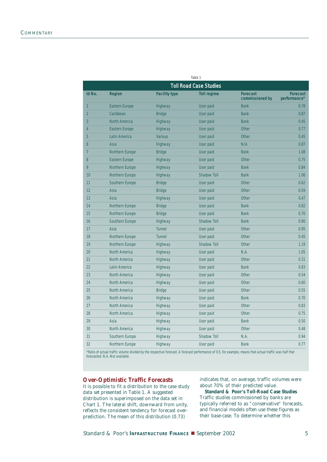|                               |                       |                      | Table 1            |                             |                          |  |  |  |  |  |  |
|-------------------------------|-----------------------|----------------------|--------------------|-----------------------------|--------------------------|--|--|--|--|--|--|
| <b>Toll Road Case Studies</b> |                       |                      |                    |                             |                          |  |  |  |  |  |  |
| Id No.                        | Region                | <b>Facility type</b> | <b>Toll regime</b> | Forecast<br>commissioned by | Forecast<br>performance* |  |  |  |  |  |  |
| 1                             | <b>Eastern Europe</b> | Highway              | User paid          | <b>Bank</b>                 | 0.78                     |  |  |  |  |  |  |
| $\overline{2}$                | Caribbean             | <b>Bridge</b>        | User paid          | <b>Bank</b>                 | 0.87                     |  |  |  |  |  |  |
| 3                             | <b>North America</b>  | Highway              | User paid          | <b>Bank</b>                 | 0.45                     |  |  |  |  |  |  |
| $\overline{4}$                | <b>Eastern Europe</b> | Highway              | User paid          | Other                       | 0.77                     |  |  |  |  |  |  |
| 5                             | Latin America         | <b>Various</b>       | User paid          | Other                       | 0.45                     |  |  |  |  |  |  |
| 6                             | Asia                  | Highway              | User paid          | N/A                         | 0.87                     |  |  |  |  |  |  |
| 7                             | Northern Europe       | <b>Bridge</b>        | User paid          | <b>Bank</b>                 | 1.08                     |  |  |  |  |  |  |
| 8                             | <b>Eastern Europe</b> | Highway              | User paid          | Other                       | 0.75                     |  |  |  |  |  |  |
| 9                             | Northern Europe       | Highway              | User paid          | <b>Bank</b>                 | 0.84                     |  |  |  |  |  |  |
| 10                            | Northern Europe       | Highway              | <b>Shadow Toll</b> | <b>Bank</b>                 | 1.06                     |  |  |  |  |  |  |
| 11                            | Southern Europe       | <b>Bridge</b>        | User paid          | Other                       | 0.62                     |  |  |  |  |  |  |
| 12                            | Asia                  | <b>Bridge</b>        | User paid          | Other                       | 0.59                     |  |  |  |  |  |  |
| 13                            | Asia                  | Highway              | User paid          | Other                       | 0.47                     |  |  |  |  |  |  |
| 14                            | Northern Europe       | <b>Bridge</b>        | User paid          | <b>Bank</b>                 | 0.82                     |  |  |  |  |  |  |
| 15                            | Northern Europe       | <b>Bridge</b>        | User paid          | <b>Bank</b>                 | 0.70                     |  |  |  |  |  |  |
| 16                            | Southern Europe       | Highway              | <b>Shadow Toll</b> | <b>Bank</b>                 | 0.90                     |  |  |  |  |  |  |
| 17                            | Asia                  | <b>Tunnel</b>        | User paid          | <b>Other</b>                | 0.95                     |  |  |  |  |  |  |
| 18                            | Northern Europe       | <b>Tunnel</b>        | User paid          | Other                       | 0.45                     |  |  |  |  |  |  |
| 19                            | Northern Europe       | Highway              | Shadow Toll        | Other                       | 1.19                     |  |  |  |  |  |  |
| 20                            | <b>North America</b>  | Highway              | User paid          | N.A.                        | 1.05                     |  |  |  |  |  |  |
| 21                            | <b>North America</b>  | Highway              | User paid          | Other                       | 0.31                     |  |  |  |  |  |  |
| 22                            | Latin America         | Highway              | User paid          | <b>Bank</b>                 | 0.83                     |  |  |  |  |  |  |
| 23                            | <b>North America</b>  | Highway              | User paid          | Other                       | 0.54                     |  |  |  |  |  |  |
| 24                            | <b>North America</b>  | Highway              | User paid          | Other                       | 0.60                     |  |  |  |  |  |  |
| 25                            | <b>North America</b>  | <b>Bridge</b>        | User paid          | Other                       | 0.55                     |  |  |  |  |  |  |
| 26                            | <b>North America</b>  | Highway              | User paid          | <b>Bank</b>                 | 0.70                     |  |  |  |  |  |  |
| 27                            | <b>North America</b>  | Highway              | User paid          | Other                       | 0.83                     |  |  |  |  |  |  |
| 28                            | <b>North America</b>  | Highway              | User paid          | Other                       | 0.75                     |  |  |  |  |  |  |
| 29                            | Asia                  | Highway              | User paid          | <b>Bank</b>                 | 0.50                     |  |  |  |  |  |  |
| 30                            | <b>North America</b>  | Highway              | User paid          | Other                       | 0.48                     |  |  |  |  |  |  |
| 31                            | Southern Europe       | Highway              | <b>Shadow Toll</b> | N.A.                        | 0.94                     |  |  |  |  |  |  |
| 32                            | Northern Europe       | Highway              | User paid          | <b>Bank</b>                 | 0.77                     |  |  |  |  |  |  |
|                               |                       |                      |                    |                             |                          |  |  |  |  |  |  |

\*Ratio of actual traffic volume divided by the respective forecast. A forecast performance of 0.5, for example, means that actual traffic was half that forecasted. N.A.-Not available.

### *Over-Optimistic Traffic Forecasts*

It is possible to fit a distribution to the case study data set presented in Table 1. A suggested distribution is superimposed on the data set in Chart 1. The lateral shift, downward from unity, reflects the consistent tendency for forecast overprediction. The mean of this distribution (0.73)

indicates that, on average, traffic volumes were about 70% of their predicted value.

*Standard & Poor's Toll-Road Case Studies* Traffic studies commissioned by banks are typically referred to as "conservative" forecasts, and financial models often use these figures as their base-case. To determine whether this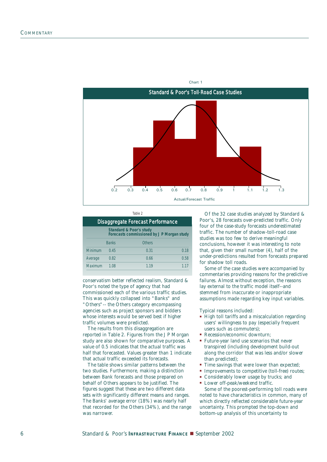

| Table 2<br>Disaggregate Forecast Performance |        |       |  |  |  |  |  |
|----------------------------------------------|--------|-------|--|--|--|--|--|
|                                              |        |       |  |  |  |  |  |
| <b>Banks</b>                                 | Others |       |  |  |  |  |  |
| 0.45                                         | 0.31   | 0.18  |  |  |  |  |  |
| 0.82                                         | 0.66   | 0.58  |  |  |  |  |  |
| 1.08                                         | 1.19   | 1 1 7 |  |  |  |  |  |
|                                              |        |       |  |  |  |  |  |

conservatism better reflected realism, Standard & Poor's noted the type of agency that had commissioned each of the various traffic studies. This was quickly collapsed into "Banks" and "Others"-- the Others category encompassing agencies such as project sponsors and bidders whose interests would be served best if higher traffic volumes were predicted.

The results from this disaggregation are reported in Table 2. Figures from the J P Morgan study are also shown for comparative purposes. A value of 0.5 indicates that the actual traffic was half that forecasted. Values greater than 1 indicate that actual traffic exceeded its forecasts.

The table shows similar patterns between the two studies. Furthermore, making a distinction between Bank forecasts and those prepared on behalf of Others appears to be justified. The figures suggest that these are two different data sets with significantly different means and ranges. The Banks' average error (18%) was nearly half that recorded for the Others (34%), and the range was narrower.

Of the 32 case studies analyzed by Standard & Poor's, 28 forecasts over-predicted traffic. Only four of the case-study forecasts underestimated traffic. The number of shadow-toll-road case studies was too few to derive meaningful conclusions, however it was interesting to note that, given their small number (4), half of the under-predictions resulted from forecasts prepared for shadow toll roads.

Some of the case studies were accompanied by commentaries providing reasons for the predictive failures. Almost without exception, the reasons lay external to the traffic model itself--and stemmed from inaccurate or inappropriate assumptions made regarding key input variables.

Typical reasons included:

- High toll tariffs and a miscalculation regarding users' willingness to pay (especially frequent users such as commuters);
- **Recession/economic downturn:**
- Future-year land use scenarios that never transpired (including development build-out along the corridor that was less and/or slower than predicted);
- Time savings that were lower than expected:
- **Improvements to competitive (toll-free) routes;**
- Considerably lower usage by trucks; and
- **Lower off-peak/weekend traffic.**

Some of the poorest-performing toll roads were noted to have characteristics in common, many of which directly reflected considerable future-year uncertainty. This prompted the top-down and bottom-up analysis of this uncertainty to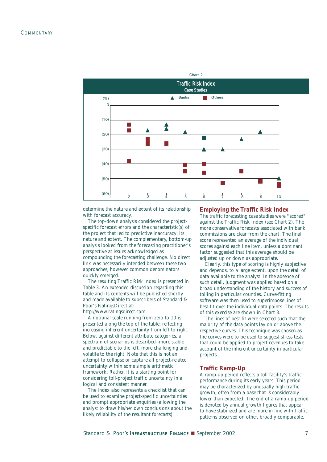

determine the nature and extent of its relationship with forecast accuracy.

The top-down analysis considered the projectspecific forecast errors and the characteristic(s) of the project that led to predictive inaccuracy; its nature and extent. The complementary, bottom-up analysis looked from the forecasting practitioner's perspective at issues acknowledged as compounding the forecasting challenge. No direct link was necessarily intended between these two approaches, however common denominators quickly emerged.

The resulting Traffic Risk Index is presented in Table 3. An extended discussion regarding this table and its contents will be published shortly and made available to subscribers of Standard & Poor's RatingsDirect at:

http://www.ratingsdirect.com.

A notional scale running from zero to 10 is presented along the top of the table, reflecting increasing inherent uncertainty from left to right. Below, against different attribute categories, a spectrum of scenarios is described--more stable and predictable to the left, more challenging and volatile to the right. Note that this is not an attempt to collapse or capture all project-related uncertainty within some simple arithmetic framework. Rather, it is a starting point for considering toll-project traffic uncertainty in a logical and consistent manner.

The Index also represents a checklist that can be used to examine project-specific uncertainties and prompt appropriate enquiries (allowing the analyst to draw his/her own conclusions about the likely reliability of the resultant forecasts).

#### *Employing the Traffic Risk Index*

The traffic forecasting case studies were "scored" against the Traffic Risk Index (see Chart 2). The more conservative forecasts associated with bank commissions are clear from the chart. The final score represented an average of the individual scores against each line item, unless a dominant factor suggested that this average should be adjusted up or down as appropriate.

Clearly, this type of scoring is highly subjective and depends, to a large extent, upon the detail of data available to the analyst. In the absence of such detail, judgment was applied based on a broad understanding of the history and success of tolling in particular counties. Curve-fitting software was then used to superimpose lines of best fit over the individual data points. The results of this exercise are shown in Chart 3.

The lines of best fit were selected such that the majority of the data points lay on or above the respective curves. This technique was chosen as the curves were to be used to suggest stress tests that could be applied to project revenues to take account of the inherent uncertainty in particular projects.

# *Traffic Ramp-Up*

A ramp-up period reflects a toll facility's traffic performance during its early years. This period may be characterized by unusually high traffic growth, often from a base that is considerably lower than expected. The end of a ramp-up period is denoted by annual growth figures that appear to have stabilized and are more in line with traffic patterns observed on other, broadly comparable,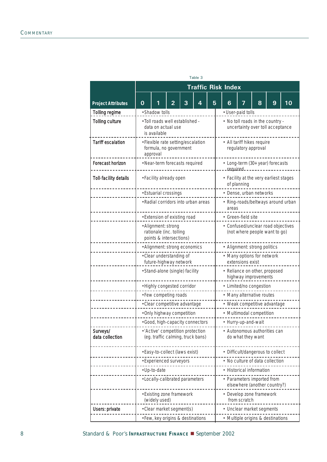| Table 3                      |                                                                           |                                                                        |                |   |                                                            |                                                                     |                                          |                              |                           |   |                                                                      |                                    |  |  |
|------------------------------|---------------------------------------------------------------------------|------------------------------------------------------------------------|----------------|---|------------------------------------------------------------|---------------------------------------------------------------------|------------------------------------------|------------------------------|---------------------------|---|----------------------------------------------------------------------|------------------------------------|--|--|
|                              | Traffic Risk Index                                                        |                                                                        |                |   |                                                            |                                                                     |                                          |                              |                           |   |                                                                      |                                    |  |  |
|                              |                                                                           |                                                                        |                |   |                                                            |                                                                     |                                          |                              |                           |   |                                                                      |                                    |  |  |
| <b>Project Attributes</b>    | $\mathbf 0$                                                               |                                                                        | $\overline{2}$ | 3 | 4                                                          | 5                                                                   |                                          | 6                            | 7                         | 8 | 9                                                                    | 10                                 |  |  |
| <b>Tolling regime</b>        | • Shadow tolls                                                            |                                                                        |                |   |                                                            |                                                                     | · User-paid tolls                        |                              |                           |   |                                                                      |                                    |  |  |
| <b>Tolling culture</b>       | · Toll roads well established -<br>data on actual use<br>is available     |                                                                        |                |   |                                                            |                                                                     |                                          |                              |                           |   | • No toll roads in the country -<br>uncertainty over toll acceptance |                                    |  |  |
| <b>Tariff escalation</b>     | • Flexible rate setting/escalation<br>formula, no government<br>approval  |                                                                        |                |   | • All tariff hikes require<br>regulatory approval          |                                                                     |                                          |                              |                           |   |                                                                      |                                    |  |  |
| <b>Forecast horizon</b>      |                                                                           | · Near-term forecasts required                                         |                |   |                                                            |                                                                     |                                          | required_                    |                           |   | • Long-term (30+ year) forecasts                                     |                                    |  |  |
| <b>Toll-facility details</b> |                                                                           | • Facility already open                                                |                |   |                                                            |                                                                     |                                          |                              | of planning               |   | • Facility at the very earliest stages                               |                                    |  |  |
|                              |                                                                           | • Estuarial crossings                                                  |                |   |                                                            |                                                                     |                                          |                              | • Dense, urban networks   |   |                                                                      |                                    |  |  |
|                              |                                                                           | • Radial corridors into urban areas                                    |                |   |                                                            |                                                                     |                                          | areas                        |                           |   |                                                                      | · Ring-roads/beltways around urban |  |  |
|                              | • Extension of existing road                                              |                                                                        |                |   | • Green-field site                                         |                                                                     |                                          |                              |                           |   |                                                                      |                                    |  |  |
|                              | · Alignment: strong<br>rationale (inc. tolling<br>points & intersections) |                                                                        |                |   |                                                            | • Confused/unclear road objectives<br>(not where people want to go) |                                          |                              |                           |   |                                                                      |                                    |  |  |
|                              | · Alignment: strong economics                                             |                                                                        |                |   |                                                            |                                                                     |                                          | • Alignment: strong politics |                           |   |                                                                      |                                    |  |  |
|                              | • Clear understanding of<br>future-highway network                        |                                                                        |                |   | • Many options for network<br>extensions exist             |                                                                     |                                          |                              |                           |   |                                                                      |                                    |  |  |
|                              | · Stand-alone (single) facility                                           |                                                                        |                |   |                                                            | • Reliance on other, proposed<br>highway improvements               |                                          |                              |                           |   |                                                                      |                                    |  |  |
|                              | • Highly congested corridor                                               |                                                                        |                |   | • Limited/no congestion                                    |                                                                     |                                          |                              |                           |   |                                                                      |                                    |  |  |
|                              | • Few competing roads                                                     |                                                                        |                |   | • Many alternative routes                                  |                                                                     |                                          |                              |                           |   |                                                                      |                                    |  |  |
|                              |                                                                           | · Clear competitive advantage                                          |                |   |                                                            |                                                                     | • Weak competitive advantage             |                              |                           |   |                                                                      |                                    |  |  |
|                              |                                                                           | • Only highway competition                                             |                |   |                                                            |                                                                     | • Multimodal competition                 |                              |                           |   |                                                                      |                                    |  |  |
|                              |                                                                           | · Good, high-capacity connectors                                       |                |   |                                                            |                                                                     | • Hurry-up-and-wait                      |                              |                           |   |                                                                      |                                    |  |  |
| Surveys/<br>data collection  |                                                                           | · 'Active' competition protection<br>(eg. traffic calming, truck bans) |                |   | Autonomous authorities can<br>do what they want            |                                                                     |                                          |                              |                           |   |                                                                      |                                    |  |  |
|                              |                                                                           | · Easy-to-collect (laws exist)                                         |                |   |                                                            |                                                                     | • Difficult/dangerous to collect         |                              |                           |   |                                                                      |                                    |  |  |
|                              |                                                                           | • Experienced surveyors                                                |                |   |                                                            |                                                                     | • No culture of data collection          |                              |                           |   |                                                                      |                                    |  |  |
|                              |                                                                           | · Up-to-date                                                           |                |   | <b>Historical information</b>                              |                                                                     |                                          |                              |                           |   |                                                                      |                                    |  |  |
|                              |                                                                           | • Locally-calibrated parameters                                        |                |   | • Parameters imported from<br>elsewhere (another country?) |                                                                     |                                          |                              |                           |   |                                                                      |                                    |  |  |
|                              |                                                                           | • Existing zone framework<br>(widely used)                             |                |   |                                                            |                                                                     | • Develop zone framework<br>from scratch |                              |                           |   |                                                                      |                                    |  |  |
| Users: private               |                                                                           | · Clear market segment(s)                                              |                |   |                                                            |                                                                     |                                          |                              | • Unclear market segments |   |                                                                      |                                    |  |  |
|                              |                                                                           | · Few, key origins & destinations                                      |                |   |                                                            | • Multiple origins & destinations                                   |                                          |                              |                           |   |                                                                      |                                    |  |  |

8 Standard & Poor's *INFRASTRUCTURE FINANCE* September 2002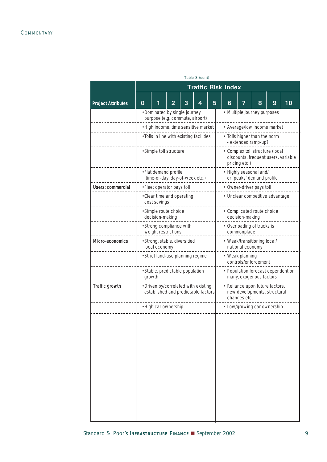|                           |                                                                              |                                                          |   |   | Table 3 (cont)                                                                          |                                           |                                                                                 |                                                     |                                                     |   |   |    |  |  |
|---------------------------|------------------------------------------------------------------------------|----------------------------------------------------------|---|---|-----------------------------------------------------------------------------------------|-------------------------------------------|---------------------------------------------------------------------------------|-----------------------------------------------------|-----------------------------------------------------|---|---|----|--|--|
|                           | <b>Traffic Risk Index</b>                                                    |                                                          |   |   |                                                                                         |                                           |                                                                                 |                                                     |                                                     |   |   |    |  |  |
|                           |                                                                              |                                                          |   |   |                                                                                         |                                           |                                                                                 |                                                     |                                                     |   |   |    |  |  |
| <b>Project Attributes</b> | $\mathbf 0$                                                                  | 1                                                        | 2 | 3 | 4                                                                                       | 5                                         |                                                                                 | $6\phantom{1}6$                                     | 7<br>• Multiple journey purposes                    | 8 | 9 | 10 |  |  |
|                           | • Dominated by single journey<br>purpose (e.g. commute, airport)             |                                                          |   |   |                                                                                         |                                           |                                                                                 |                                                     |                                                     |   |   |    |  |  |
|                           | · High income, time sensitive market                                         |                                                          |   |   |                                                                                         |                                           |                                                                                 | • Average/low income market                         |                                                     |   |   |    |  |  |
|                           | · Tolls in line with existing facilities                                     |                                                          |   |   |                                                                                         |                                           |                                                                                 | • Tolls higher than the norm<br>- extended ramp-up? |                                                     |   |   |    |  |  |
|                           | · Simple toll structure                                                      |                                                          |   |   | • Complex toll structure (local<br>discounts, frequent users, variable<br>pricing etc.) |                                           |                                                                                 |                                                     |                                                     |   |   |    |  |  |
|                           |                                                                              | · Flat demand profile<br>(time-of-day, day-of-week etc.) |   |   |                                                                                         |                                           |                                                                                 |                                                     | • Highly seasonal and/<br>or 'peaky' demand profile |   |   |    |  |  |
| Users: commercial         |                                                                              | • Fleet operator pays toll                               |   |   |                                                                                         |                                           |                                                                                 |                                                     | • Owner-driver pays toll                            |   |   |    |  |  |
|                           |                                                                              | • Clear time and operating<br>cost savings               |   |   |                                                                                         |                                           |                                                                                 |                                                     | • Unclear competitive advantage                     |   |   |    |  |  |
|                           |                                                                              | · Simple route choice<br>decision-making                 |   |   |                                                                                         |                                           | • Complicated route choice<br>decision-making                                   |                                                     |                                                     |   |   |    |  |  |
|                           | · Strong compliance with<br>weight restrictions                              |                                                          |   |   |                                                                                         | • Overloading of trucks is<br>commonplace |                                                                                 |                                                     |                                                     |   |   |    |  |  |
| Micro-economics           | · Strong, stable, diversitied<br>local economy                               |                                                          |   |   |                                                                                         |                                           | • Weak/transitioning local/<br>national economy                                 |                                                     |                                                     |   |   |    |  |  |
|                           | · Strict land-use planning regime                                            |                                                          |   |   |                                                                                         |                                           | • Weak planning<br>controls/enforcement                                         |                                                     |                                                     |   |   |    |  |  |
|                           | growth                                                                       | · Stable, predictable population                         |   |   |                                                                                         |                                           | • Population forecast dependent on<br>many, exogenous factors                   |                                                     |                                                     |   |   |    |  |  |
| Traffic growth            | • Driven by/correlated with existing,<br>established and predictable factors |                                                          |   |   |                                                                                         |                                           | • Reliance upon future factors,<br>new developments, structural<br>changes etc. |                                                     |                                                     |   |   |    |  |  |
|                           |                                                                              | · High car ownership                                     |   |   |                                                                                         |                                           |                                                                                 |                                                     | • Low/growing car ownership                         |   |   |    |  |  |
|                           |                                                                              |                                                          |   |   |                                                                                         |                                           |                                                                                 |                                                     |                                                     |   |   |    |  |  |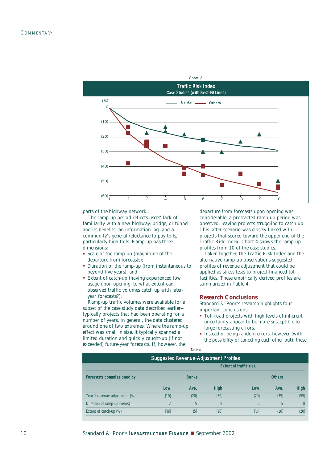

parts of the highway network.

The ramp-up period reflects users' lack of familiarity with a new highway, bridge, or tunnel and its benefits--an information lag--and a community's general reluctance to pay tolls, particularly high tolls. Ramp-up has three dimensions:

- Scale of the ramp-up (magnitude of the departure from forecasts);
- Duration of the ramp-up (from instantaneous to beyond five years); and
- **Extent of catch-up (having experienced low** usage upon opening, to what extent can observed traffic volumes catch up with lateryear forecasts?).

Ramp-up traffic volumes were available for a subset of the case study data described earlier- typically projects that had been operating for a number of years. In general, the data clustered around one of two extremes. Where the ramp-up effect was small in size, it typically spanned a limited duration and quickly caught-up (if not exceeded) future-year forecasts. If, however, the

departure from forecasts upon opening was considerable, a protracted ramp-up period was observed, leaving projects struggling to catch up. This latter scenario was closely linked with projects that scored toward the upper end of the Traffic Risk Index. Chart 4 shows the ramp-up profiles from 10 of the case studies.

Taken together, the Traffic Risk Index and the alternative ramp-up observations suggested profiles of revenue adjustment that could be applied as stress tests to project-financed toll facilities. These empirically derived profiles are summarized in Table 4.

# *Research Conclusions*

Standard & Poor's research highlights four important conclusions:

- $\blacksquare$  Toll-road projects with high levels of inherent uncertainty appear to be more susceptible to large forecasting errors.
- Instead of being random errors, however (with the possibility of canceling each other out), these

| Table 4                          |                               |              |                                              |      |      |      |  |  |
|----------------------------------|-------------------------------|--------------|----------------------------------------------|------|------|------|--|--|
|                                  |                               |              | <b>Suggested Revenue-Adjustment Profiles</b> |      |      |      |  |  |
|                                  | <b>Extent of traffic risk</b> |              |                                              |      |      |      |  |  |
| <b>Forecasts commissioned by</b> |                               | <b>Banks</b> | <b>Others</b>                                |      |      |      |  |  |
|                                  | Low                           | Ave.         | <b>High</b>                                  | Low  | Ave. | High |  |  |
| Year 1 revenue adjustment (%)    | (10)                          | (20)         | (30)                                         | (20) | (35) | (55) |  |  |
| Duration of ramp-up (years)      | $\overline{2}$                | 5            | 8                                            | 2    | 5    | 8    |  |  |
| Extent of catch-up (%)           | Full                          | (5)          | (10)                                         | Full | (10) | (20) |  |  |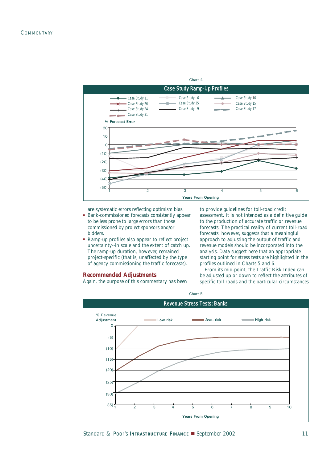

are systematic errors reflecting optimism bias.

- Bank-commissioned forecasts consistently appear to be less prone to large errors than those commissioned by project sponsors and/or bidders.
- Ramp-up profiles also appear to reflect project uncertainty--in scale and the extent of catch up. The ramp-up duration, however, remained project-specific (that is, unaffected by the type of agency commissioning the traffic forecasts).

#### *Recommended Adjustments*

Again, the purpose of this commentary has been

to provide guidelines for toll-road credit assessment. It is not intended as a definitive guide to the production of accurate traffic or revenue forecasts. The practical reality of current toll-road forecasts, however, suggests that a meaningful approach to adjusting the output of traffic and revenue models should be incorporated into the analysis. Data suggest here that an appropriate starting point for stress tests are highlighted in the profiles outlined in Charts 5 and 6.

From its mid-point, the Traffic Risk Index can be adjusted up or down to reflect the attributes of specific toll roads and the particular circumstances



Chart 5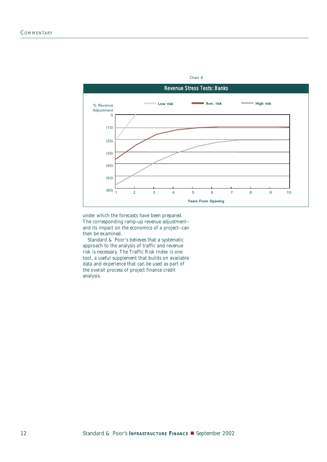

under which the forecasts have been prepared. The corresponding ramp-up revenue adjustment- and its impact on the economics of a project--can then be examined.

Standard & Poor's believes that a systematic approach to the analysis of traffic and revenue risk is necessary. The Traffic Risk Index is one tool, a useful supplement that builds on available data and experience that can be used as part of the overall process of project finance credit analysis.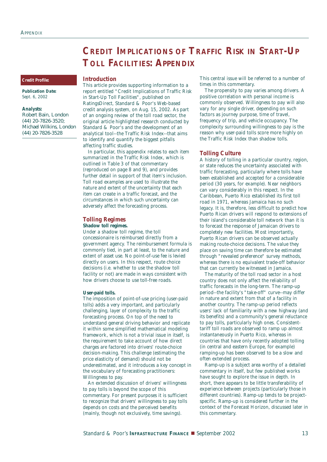#### *Credit Profile:*

*Publication Date:* Sept. 6, 2002

# *Analysts:*

*Robert Bain, London (44) 20-7826-3520; Michael Wilkins, London (44) 20-7826-3528* 

# *CREDIT IMPLICATIONS OF TRAFFIC RISK IN START-UP TOLL FACILITIES: APPENDIX*

#### *Introduction*

This article provides supporting information to a report entitled "Credit Implications of Traffic Risk in Start-Up Toll Facilities", published on RatingsDirect, Standard & Poor's Web-based credit analysis system, on Aug. 15, 2002. As part of an ongoing review of the toll road sector, the original article highlighted research conducted by Standard & Poor's and the development of an analytical tool--the Traffic Risk Index--that aims to identify and quantify the biggest pitfalls affecting traffic studies.

In particular, this appendix relates to each item summarized in the Traffic Risk Index, which is outlined in Table 3 of that commentary (reproduced on page 8 and 9), and provides further detail in support of that item's inclusion. Toll road examples are used to illustrate the nature and extent of the uncertainty that each item can create in a traffic forecast, and the circumstances in which such uncertainty can adversely affect the forecasting process.

# *Tolling Regimes*

# *Shadow toll regimes.*

Under a shadow toll regime, the toll concessionaire is reimbursed directly from a government agency. The reimbursement formula is commonly tied, in part at least, to the nature and extent of asset use. No point-of-use fee is levied directly on users. In this respect, route choice decisions (i.e. whether to use the shadow toll facility or not) are made in ways consistent with how drivers choose to use toll-free roads.

#### *User-paid tolls.*

The imposition of point-of-use pricing (user-paid tolls) adds a very important, and particularly challenging, layer of complexity to the traffic forecasting process. On top of the need to understand general driving behavior and replicate it within some simplified mathematical modeling framework, which is not a trivial issue in itself, is the requirement to take account of how direct charges are factored into drivers' route-choice decision-making. This challenge (estimating the price elasticity of demand) should not be underestimated, and it introduces a key concept in the vocabulary of forecasting practitioners: Willingness to pay.

An extended discussion of drivers' willingness to pay tolls is beyond the scope of this commentary. For present purposes it is sufficient to recognize that drivers' willingness to pay tolls depends on costs and the perceived benefits (mainly, though not exclusively, time savings).

This central issue will be referred to a number of times in this commentary.

The propensity to pay varies among drivers. A positive correlation with personal income is commonly observed. Willingness to pay will also vary for any single driver, depending on such factors as journey purpose, time of travel, frequency of trip, and vehicle occupancy. The complexity surrounding willingness to pay is the reason why user-paid tolls score more highly on the Traffic Risk Index than shadow tolls.

# *Tolling Culture*

A history of tolling in a particular country, region, or state reduces the uncertainty associated with traffic forecasting, particularly where tolls have been established and accepted for a considerable period (30 years, for example). Near neighbors can vary considerably in this respect. In the Caribbean, Puerto Rico established its first toll road in 1971, whereas Jamaica has no such legacy. It is, therefore, less difficult to predict how Puerto Rican drivers will respond to extensions of their island's considerable toll network than it is to forecast the response of Jamaican drivers to completely new facilities. Most importantly, Puerto Rican drivers can be observed actually making route-choice decisions. The value they place on saving time can therefore be estimated through "revealed preference" survey methods, whereas there is no equivalent trade-off behavior that can currently be witnessed in Jamaica.

The maturity of the toll road sector in a host country does not only affect the reliability of traffic forecasts in the long-term. The ramp-up period--the facility's "take-off" curve--may differ in nature and extent from that of a facility in another country. The ramp-up period reflects users' lack of familiarity with a new highway (and its benefits) and a community's general reluctance to pay tolls, particularly high ones. Consistenttariff toll roads are observed to ramp up almost instantaneously in Puerto Rico, whereas in countries that have only recently adopted tolling (in central and eastern Europe, for example) ramping-up has been observed to be a slow and often extended process.

Ramp-up is a subject area worthy of a detailed commentary in itself, but few published works have sought to explore the issue in depth. In short, there appears to be little transferability of experience between projects (particularly those in different countries). Ramp-up tends to be projectspecific. Ramp-up is considered further in the context of the Forecast Horizon, discussed later in this commentary.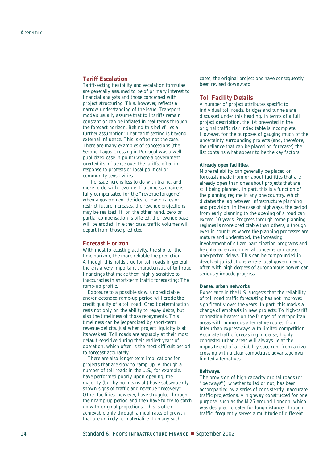# *Tariff Escalation*

Tariff-setting flexibility and escalation formulae are generally assumed to be of primary interest to financial analysts and those concerned with project structuring. This, however, reflects a narrow understanding of the issue. Transport models usually assume that toll tariffs remain constant or can be inflated in real terms through the forecast horizon. Behind this belief lies a further assumption: That tariff-setting is beyond external influence. This is often not the case. There are many examples of concessions (the Second Tagus Crossing in Portugal was a wellpublicized case in point) where a government exerted its influence over the tariffs, often in response to protests or local political or community sensitivities.

The issue here is less to do with traffic, and more to do with revenue. If a concessionaire is fully compensated for the "revenue foregone" when a government decides to lower rates or restrict future increases, the revenue projections may be realized. If, on the other hand, zero or partial compensation is offered, the revenue base will be eroded. In either case, traffic volumes will depart from those predicted.

#### *Forecast Horizon*

With most forecasting activity, the shorter the time horizon, the more reliable the prediction. Although this holds true for toll roads in general, there is a very important characteristic of toll road financings that make them highly sensitive to inaccuracies in short-term traffic forecasting: The ramp-up profile.

Exposure to a possible slow, unpredictable, and/or extended ramp-up period will erode the credit quality of a toll road. Credit determination rests not only on the ability to repay debts, but also the timeliness of those repayments. This timeliness can be jeopardized by short-term revenue deficits, just when project liquidity is at its weakest. Toll roads are arguably at their most default-sensitive during their earliest years of operation, which often is the most difficult period to forecast accurately.

There are also longer-term implications for projects that are slow to ramp up. Although a number of toll roads in the U.S., for example, have performed poorly upon opening, the majority (but by no means all) have subsequently shown signs of traffic and revenue "recovery". Other facilities, however, have struggled through their ramp-up period and then have to try to catch up with original projections. This is often achievable only through annual rates of growth that are unlikely to materialize. In many such

cases, the original projections have consequently been revised downward.

#### *Toll Facility Details*

A number of project attributes specific to individual toll roads, bridges and tunnels are discussed under this heading. In terms of a full project description, the list presented in the original traffic risk index table is incomplete. However, for the purposes of gauging much of the uncertainty surrounding projects (and, therefore, the reliance that can be placed on forecasts) the list contains what appear to be the key factors.

# *Already open facilities.*

More reliability can generally be placed on forecasts made from or about facilities that are already open than ones about projects that are still being planned. In part, this is a function of the planning regime in any one country, which dictates the lag between infrastructure planning and provision. In the case of highways, the period from early planning to the opening of a road can exceed 10 years. Progress through some planning regimes is more predictable than others, although even in countries where the planning processes are mature and understood, the increasing involvement of citizen participation programs and heightened environmental concerns can cause unexpected delays. This can be compounded in devolved jurisdictions where local governments, often with high degrees of autonomous power, can seriously impede progress.

#### *Dense, urban networks.*

Experience in the U.S. suggests that the reliability of toll road traffic forecasting has not improved significantly over the years. In part, this masks a change of emphasis in new projects: To high-tariff congestion-beaters on the fringes of metropolitan areas with numerous alternative routes, from interurban expressways with limited competition. Accurate traffic forecasting in dense, highly congested urban areas will always lie at the opposite end of a reliability spectrum from a river crossing with a clear competitive advantage over limited alternatives.

#### *Beltways.*

The provision of high-capacity orbital roads (or "beltways"), whether tolled or not, has been accompanied by a series of consistently inaccurate traffic projections. A highway constructed for one purpose, such as the M25 around London, which was designed to cater for long-distance, through traffic, frequently serves a multitude of different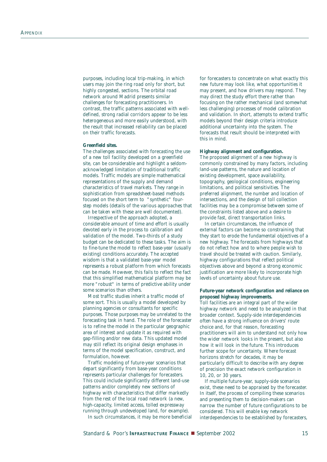purposes, including local trip-making, in which users may join the ring road only for short, but highly congested, sections. The orbital road network around Madrid presents similar challenges for forecasting practitioners. In contrast, the traffic patterns associated with welldefined, strong radial corridors appear to be less heterogeneous and more easily understood, with the result that increased reliability can be placed on their traffic forecasts.

#### *Greenfield sites.*

The challenges associated with forecasting the use of a new toll facility developed on a greenfield site, can be considerable and highlight a seldomacknowledged limitation of traditional traffic models. Traffic models are simple mathematical representations of the supply and demand characteristics of travel markets. They range in sophistication from spreadsheet-based methods focused on the short term to "synthetic" fourstep models (details of the various approaches that can be taken with these are well documented).

Irrespective of the approach adopted, a considerable amount of time and effort is usually devoted early in the process to calibration and validation of the model. Two-thirds of a study budget can be dedicated to these tasks. The aim is to fine-tune the model to reflect base-year (usually existing) conditions accurately. The accepted wisdom is that a validated base-year model represents a robust platform from which forecasts can be made. However, this fails to reflect the fact that this simplified mathematical platform may be more "robust" in terms of predictive ability under some scenarios than others.

Most traffic studies inherit a traffic model of some sort. This is usually a model developed by planning agencies or consultants for specific purposes. Those purposes may be unrelated to the forecasting task in hand. The role of the forecaster is to refine the model in the particular geographic area of interest and update it as required with gap-filling and/or new data. This updated model may still reflect its original design emphases in terms of the model specification, construct, and formulation, however.

Traffic modeling of future-year scenarios that depart significantly from base-year conditions represents particular challenges for forecasters. This could include significantly different land-use patterns and/or completely new sections of highway with characteristics that differ markedly from the rest of the local road network (a new, high-capacity, limited access, tolled expressway running through undeveloped land, for example).

In such circumstances, it may be more beneficial

for forecasters to concentrate on what exactly this new future may look like, what opportunities it may present, and how drivers may respond. They may direct the study effort there rather than focusing on the rather mechanical (and somewhat less challenging) processes of model calibration and validation. In short, attempts to extend traffic models beyond their design criteria introduce additional uncertainty into the system. The forecasts that result should be interpreted with this in mind.

#### *Highway alignment and configuration.*

The proposed alignment of a new highway is commonly constrained by many factors, including land-use patterns, the nature and location of existing development, space availability, topography, geological conditions, engineering limitations, and political sensitivities. The preferred alignment, the number and location of intersections, and the design of toll collection facilities may be a compromise between some of the constraints listed above and a desire to provide fast, direct transportation links.

In certain circumstances, the influence of external factors can become so constraining that they start to erode the fundamental objectives of a new highway. The forecasts from highways that do not reflect how and to where people wish to travel should be treated with caution. Similarly, highway configurations that reflect political objectives above and beyond a strong economic justification are more likely to incorporate high levels of uncertainty about future use.

#### *Future-year network configuration and reliance on proposed highway improvements.*

Toll facilities are an integral part of the wider highway network and need to be analyzed in that broader context. Supply-side interdependencies often have a strong influence on drivers' route choice and, for that reason, forecasting practitioners will aim to understand not only how the wider network looks in the present, but also how it will look in the future. This introduces further scope for uncertainty. Where forecast horizons stretch for decades, it may be particularly difficult to describe with any degree of precision the exact network configuration in 10, 20, or 30 years.

If multiple future-year, supply-side scenarios exist, these need to be appraised by the forecaster. In itself, the process of compiling these scenarios and presenting them to decision-makers can narrow the number of future configurations to be considered. This will enable key network interdependencies to be established by forecasters,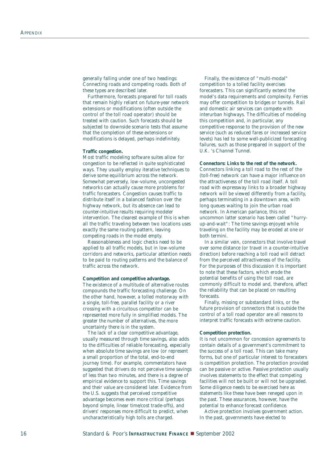generally falling under one of two headings: Connecting roads and competing roads. Both of these types are described later.

Furthermore, forecasts prepared for toll roads that remain highly reliant on future-year network extensions or modifications (often outside the control of the toll road operator) should be treated with caution. Such forecasts should be subjected to downside scenario tests that assume that the completion of these extensions or modifications is delayed, perhaps indefinitely.

#### *Traffic congestion.*

Most traffic modeling software suites allow for congestion to be reflected in quite sophisticated ways. They usually employ iterative techniques to derive some equilibrium across the network. Somewhat perversely, low-volume, uncongested networks can actually cause more problems for traffic forecasters. Congestion causes traffic to distribute itself in a balanced fashion over the highway network, but its absence can lead to counter-intuitive results requiring modeler intervention. The clearest example of this is when all the traffic traveling between two locations uses exactly the same routing pattern, leaving competing roads in the model empty.

Reasonableness and logic checks need to be applied to all traffic models, but in low-volume corridors and networks, particular attention needs to be paid to routing patterns and the balance of traffic across the network.

# *Competition and competitive advantage.*

The existence of a multitude of alternative routes compounds the traffic forecasting challenge. On the other hand, however, a tolled motorway with a single, toll-free, parallel facility or a river crossing with a circuitous competitor can be represented more fully in simplified models. The greater the number of alternatives, the more uncertainty there is in the system.

The lack of a clear competitive advantage, usually measured through time savings, also adds to the difficulties of reliable forecasting, especially when absolute time savings are low (or represent a small proportion of the total, end-to-end journey time). For example, commentators have suggested that drivers do not perceive time savings of less than two minutes, and there is a degree of empirical evidence to support this. Time savings and their value are considered later. Evidence from the U.S. suggests that perceived competitive advantage becomes even more critical (perhaps beyond simple, linear time/cost trade-offs), and drivers' responses more difficult to predict, when uncharacteristically high tolls are charged.

Finally, the existence of "multi-modal" competition to a tolled facility exercises forecasters. This can significantly extend the model's data requirements and complexity. Ferries may offer competition to bridges or tunnels. Rail and domestic air services can compete with interurban highways. The difficulties of modeling this competition and, in particular, any competitive response to the provision of the new service (such as reduced fares or increased service levels) has led to some well-publicized forecasting failures, such as those prepared in support of the U.K. 's Channel Tunnel.

#### *Connectors: Links to the rest of the network.*

Connectors linking a toll road to the rest of the (toll-free) network can have a major influence on the attractiveness of the toll road itself. A toll road with expressway links to a broader highway network will be viewed differently from a facility, perhaps terminating in a downtown area, with long queues waiting to join the urban road network. In American parlance, this not uncommon latter scenario has been called "hurryup-and-wait": The time savings enjoyed while traveling on the facility may be eroded at one or both termini.

In a similar vein, connectors that involve travel over some distance (or travel in a counter-intuitive direction) before reaching a toll road will detract from the perceived attractiveness of the facility. For the purposes of this discussion it is important to note that these factors, which erode the potential benefits of using the toll road, are commonly difficult to model and, therefore, affect the reliability that can be placed on resulting forecasts.

Finally, missing or substandard links, or the future provision of connectors that is outside the control of a toll road operator are all reasons to interpret traffic forecasts with extreme caution.

#### *Competition protection.*

It is not uncommon for concession agreements to contain details of a government's commitment to the success of a toll road. This can take many forms, but one of particular interest to forecasters is competition protection. The protection provided can be passive or active. Passive protection usually involves statements to the effect that competing facilities will not be built or will not be upgraded. Some diligence needs to be exercised here as statements like these have been reneged upon in the past. These assurances, however, have the potential to enhance forecast confidence.

Active protection involves government action. In the past, governments have elected to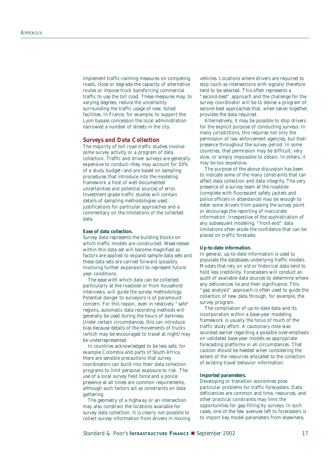implement traffic-calming measures on competing roads, close or degrade the capacity of alternative routes or impose truck bansforcing commercial traffic to use the toll road. These measures may, to varying degrees, reduce the uncertainty surrounding the traffic usage of new, tolled facilities. In France, for example, to support the Lyon bypass concession the local administration narrowed a number of streets in the city.

#### *Surveys and Data Collection*

The majority of toll road traffic studies involve some survey activity or a program of data collection. Traffic and driver surveys are generally expensive to conduct--they may account for 50% of a study budget--and are based on sampling procedures that introduce into the modeling framework a host of well-documented uncertainties and potential sources of error. Investment-grade traffic studies will contain details of sampling methodologies used, justifications for particular approaches and a commentary on the limitations of the collected data.

#### *Ease of data collection.*

Survey data represents the building blocks on which traffic models are constructed. Weaknesses within this data set will become magnified as factors are applied to expand sample data sets and these data sets are carried forward (possibly involving further expansion) to represent futureyear conditions.

The ease with which data can be collected, particularly at the roadside or from household interviews, will guide the survey methodology. Potential danger to surveyors is of paramount concern. For this reason, even in relatively "safe" regions, automatic data recording methods will generally be used during the hours of darkness. Under certain circumstances, this can introduce bias because details of the movements of trucks (which may be encouraged to travel at night) may be underrepresented.

In countries acknowledged to be less safe, for example Colombia and parts of South Africa, there are sensible precautions that survey coordinators can build into their data collection programs to limit personal exposure to risk. The use of a local survey field force and a police presence at all times are common requirements, although such factors act as constraints on data gathering.

The geometry of a highway or an intersection may also constrain the locations available for survey data collection. It is clearly not possible to collect survey information from drivers in moving vehicles. Locations where drivers are required to stop (such as intersections with signals) therefore tend to be selected. This often represents a "second-best" approach and the challenge for the survey coordinator will be to devise a program of second-best approaches that, when taken together, provides the data required.

Alternatively, it may be possible to stop drivers for the explicit purpose of conducting surveys. In many jurisdictions, this requires not only the permission of law enforcement agencies, but their presence throughout the survey period. In some countries, that permission may be difficult, very slow, or simply impossible to obtain. In others, it may be too expensive.

The purpose of the above discussion has been to indicate some of the many constraints that can affect data collection and data integrity. The very presence of a survey team at the roadside (complete with fluorescent safety jackets and police officers in attendance) may be enough to deter some drivers from passing the survey point or encourage the reporting of inaccurate information. Irrespective of the sophistication of any subsequent modeling, "front-end" data limitations often erode the confidence that can be placed on traffic forecasts.

#### *Up-to-date information.*

In general, up-to-date information is used to populate the databases underlying traffic models. Models that rely on old or historical data tend to hold less credibility. Forecasters will conduct an audit of available data sources to determine where any deficiencies lie and their significance. This 'gap analysis" approach is often used to guide the collection of new data through, for example, the survey program.

The compilation of up-to-date data and its incorporation within a base-year modeling framework is usually the focus of much of the traffic study effort. A cautionary note was sounded earlier regarding a possible over-emphasis on validated base-year models as appropriate forecasting platforms in all circumstances. That caution should be heeded when considering the extent of the resources allocated to the collection of existing travel behavior information.

#### *Imported parameters.*

Developing or transition economies pose particular problems for traffic forecasters. Data deficiencies are common and time, resources, and other practical constraints may limit the opportunities for gap-filling by surveys. In such cases, one of the few avenues left to forecasters is to import key model parameters from elsewhere,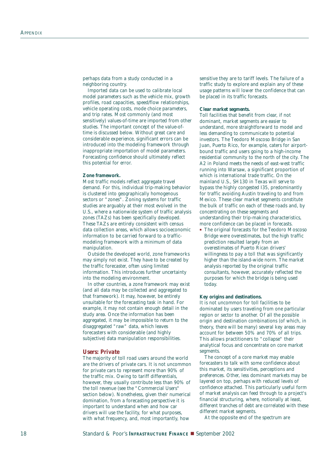perhaps data from a study conducted in a neighboring country.

Imported data can be used to calibrate local model parameters such as the vehicle mix, growth profiles, road capacities, speed/flow relationships, vehicle operating costs, mode choice parameters, and trip rates. Most commonly (and most sensitively) values-of-time are imported from other studies. The important concept of the value-oftime is discussed below. Without great care and considerable experience, significant errors can be introduced into the modeling framework through inappropriate importation of model parameters. Forecasting confidence should ultimately reflect this potential for error.

#### *Zone framework.*

Most traffic models reflect aggregate travel demand. For this, individual trip-making behavior is clustered into geographically homogenous sectors or "zones". Zoning systems for traffic studies are arguably at their most evolved in the U.S., where a nationwide system of traffic analysis zones (TAZs) has been specifically developed. These TAZs are entirely consistent with census data collection areas, which allows socioeconomic information to be carried forward to a trafficmodeling framework with a minimum of data manipulation.

Outside the developed world, zone frameworks may simply not exist. They have to be created by the traffic forecaster, often using limited information. This introduces further uncertainty into the modeling environment.

In other countries, a zone framework may exist (and all data may be collected and aggregated to that framework). It may, however, be entirely unsuitable for the forecasting task in hand. For example, it may not contain enough detail in the study area. Once the information has been aggregated, it may be impossible to return to the disaggregated "raw" data, which leaves forecasters with considerable (and highly subjective) data manipulation responsibilities.

#### *Users: Private*

The majority of toll road users around the world are the drivers of private cars. It is not uncommon for private cars to represent more than 90% of the traffic mix. Owing to tariff differentials, however, they usually contribute less than 90% of the toll revenue (see the "Commercial Users" section below). Nonetheless, given their numerical domination, from a forecasting perspective it is important to understand when and how car drivers will use the facility, for what purposes, with what frequency, and, most importantly, how

sensitive they are to tariff levels. The failure of a traffic study to explore and explain any of these usage patterns will lower the confidence that can be placed in its traffic forecasts.

#### *Clear market segments.*

Toll facilities that benefit from clear, if not dominant, market segments are easier to understand, more straightforward to model and less demanding to communicate to potential investors. The Teodoro Moscoso Bridge in San Juan, Puerto Rico, for example, caters for airportbound traffic and users going to a high-income residential community to the north of the city. The A2 in Poland meets the needs of east-west traffic running into Warsaw, a significant proportion of which is international trade traffic. On the mainland U.S., SH130 in Texas will serve to bypass the highly congested I35, predominantly for traffic avoiding Austin traveling to and from Mexico. These clear market segments constitute the bulk of traffic on each of these roads and, by concentrating on these segments and understanding their trip-making characteristics, more confidence can be placed in forecasts.

 The original forecasts for the Teodoro Moscoso Bridge were overestimates, but the high traffic prediction resulted largely from an overestimates of Puerto Rican drivers' willingness to pay a toll that was significantly higher than the island-wide norm. The market analysis reported by the original traffic consultants, however, accurately reflected the purposes for which the bridge is being used today.

# *Key origins and destinations.*

It is not uncommon for toll facilities to be dominated by users traveling from one particular region or sector to another. Of all the possible origin and destination combinations (of which, in theory, there will be many) several key areas may account for between 50% and 70% of all trips. This allows practitioners to "collapse" their analytical focus and concentrate on core market segments.

The concept of a core market may enable forecasters to talk with some confidence about this market, its sensitivities, perceptions and preferences. Other, less dominant markets may be layered on top, perhaps with reduced levels of confidence attached. This particularly useful form of market analysis can feed through to a project's financial structuring, where, notionally at least, different tranches of debt are correlated with these different market segments.

At the opposite end of the spectrum are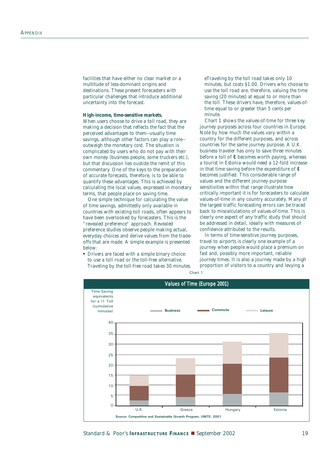facilities that have either no clear market or a multitude of less-dominant origins and destinations. These present forecasters with particular challenges that introduce additional uncertainty into the forecast.

#### *High-income, time-sensitive markets.*

When users choose to drive a toll road, they are making a decision that reflects the fact that the perceived advantages to them--usually time savings, although other factors can play a role- outweigh the monetary cost. The situation is complicated by users who do not pay with their own money (business people, some truckers etc.), but that discussion lies oustide the remit of this commentary. One of the keys to the preparation of accurate forecasts, therefore, is to be able to quantify these advantages. This is achieved by calculating the local values, expressed in monetary terms, that people place on saving time.

One simple technique for calculating the value of time savings, admittedly only available in countries with existing toll roads, often appears to have been overlooked by forecasters. This is the "revealed preference" approach. Revealed preference studies observe people making actual, everyday choices and derive values from the tradeoffs that are made. A simple example is presented below:

 Drivers are faced with a simple binary choice: to use a toll road or the toll-free alternative. Traveling by the toll-free road takes 30 minutes. eTraveling by the toll road takes only 10 minutes, but costs \$1.00. Drivers who choose to use the toll road are, therefore, valuing the time saving (20 minutes) at equal to or more than the toll. These drivers have, therefore, values-oftime equal to or greater than 5 cents per minute.

Chart 1 shows the values-of-time for three key journey purposes across four countries in Europe. Note by how much the values vary within a country for the different purposes, and across countries for the same journey purpose. A U.K. business traveler has only to save three minutes before a toll of  $E$  becomes worth paying, whereas a tourist in Estonia would need a 12-fold increase in that time saving before the expenditure of  $\mathbb \mathbb \mathbb E$ becomes justified. This considerable range of values and the different journey purpose sensitivities within that range illustrate how critically important it is for forecasters to calculate values-of-time in any country accurately. Many of the largest traffic forecasting errors can be traced back to miscalculations of values-of-time. This is clearly one aspect of any traffic study that should be addressed in detail, ideally with measures of confidence attributed to the results.

In terms of time-sensitive journey purposes, travel to airports is clearly one example of a journey when people would place a premium on fast and, possibly more important, reliable journey times. It is also a journey made by a high proportion of visitors to a country and levying a



Standard & Poor's *INFRASTRUCTURE FINANCE* ■ September 2002 19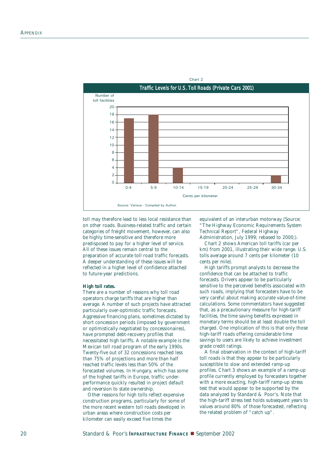

toll may therefore lead to less local resistance than on other roads. Business-related traffic and certain categories of freight movement, however, can also be highly time-sensitive and therefore more predisposed to pay for a higher level of service. All of these issues remain central to the preparation of accurate toll road traffic forecasts. A deeper understanding of these issues will be reflected in a higher level of confidence attached to future-year predictions.

#### *High toll rates.*

There are a number of reasons why toll road operators charge tariffs that are higher than average. A number of such projects have attracted particularly over-optimistic traffic forecasts. Aggressive financing plans, sometimes dictated by short concession periods (imposed by government or optimistically negotiated by concessionaires), have prompted debt-recovery profiles that necessitated high tariffs. A notable example is the Mexican toll road program of the early 1990s. Twenty-five out of 32 concessions reached less than 75% of projections and more than half reached traffic levels less than 50% of the forecasted volumes. In Hungary, which has some of the highest tariffs in Europe, traffic underperformance quickly resulted in project default and reversion to state ownership.

Other reasons for high tolls reflect expensive construction programs, particularly for some of the more recent western toll roads developed in urban areas where construction costs per kilometer can easily exceed five times the

equivalent of an interurban motorway (Source: "The Highway Economic Requirements System Technical Report", Federal Highway Administration, July 1999; rebased to 2000;).

Chart 2 shows American toll tariffs (car per km) from 2001, illustrating their wide range. U.S. tolls average around 7 cents per kilometer (10 cents per mile).

High tariffs prompt analysts to decrease the confidence that can be attached to traffic forecasts. Drivers appear to be particularly sensitive to the perceived benefits associated with such roads, implying that forecasters have to be very careful about making accurate value-of-time calculations. Some commentators have suggested that, as a precautionary measure for high-tariff facilities, the time saving benefits expressed in monetary terms should be at least double the toll charged. One implication of this is that only those high-tariff roads offering considerable time savings to users are likely to achieve investment grade credit ratings.

A final observation in the context of high-tariff toll roads is that they appear to be particularly susceptible to slow and extended ramp-up profiles. Chart 3 shows an example of a ramp-up profile currently employed by forecasters together with a more exacting, high-tariff ramp-up stress test that would appear to be supported by the data analyzed by Standard & Poor's. Note that the high-tariff stress test holds subsequent years to values around 80% of those forecasted, reflecting the related problem of "catch up".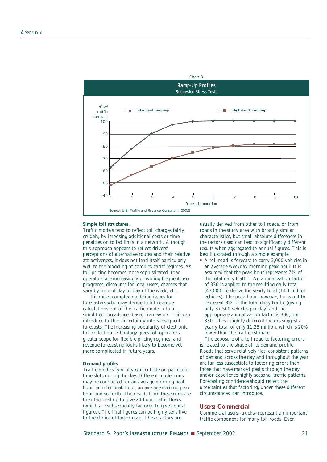

#### *Simple toll structures.*

Traffic models tend to reflect toll charges fairly crudely, by imposing additional costs or time penalties on tolled links in a network. Although this approach appears to reflect drivers' perceptions of alternative routes and their relative attractiveness, it does not lend itself particularly well to the modeling of complex tariff regimes. As toll pricing becomes more sophisticated, road operators are increasingly providing frequent-user programs, discounts for local users, charges that vary by time of day or day of the week, etc.

This raises complex modeling issues for forecasters who may decide to lift revenue calculations out of the traffic model into a simplified spreadsheet-based framework. This can introduce further uncertainty into subsequent forecasts. The increasing popularity of electronic toll collection technology gives toll operators greater scope for flexible pricing regimes, and revenue forecasting looks likely to become yet more complicated in future years.

### *Demand profile.*

Traffic models typically concentrate on particular time slots during the day. Different model runs may be conducted for an average morning peak hour, an inter-peak hour, an average evening peak hour and so forth. The results from these runs are then factored up to give 24-hour traffic flows (which are subsequently factored to give annual figures). The final figures can be highly sensitive to the choice of factor used. These factors are

usually derived from other toll roads, or from roads in the study area with broadly similar characteristics, but small absolute differences in the factors used can lead to significantly different results when aggregated to annual figures. This is best illustrated through a simple example:

 A toll road is forecast to carry 3,000 vehicles in an average weekday morning peak hour. It is assumed that the peak hour represents 7% of the total daily traffic. An annualization factor of 330 is applied to the resulting daily total (43,000) to derive the yearly total (14.1 million vehicles). The peak hour, however, turns out to represent 8% of the total daily traffic (giving only 37,500 vehicles per day) and the appropriate annualization factor is 300, not 330. These slightly different factors suggest a yearly total of only 11.25 million, which is 20% lower than the traffic estimate.

The exposure of a toll road to factoring errors is related to the shape of its demand profile. Roads that serve relatively flat, consistent patterns of demand across the day and throughout the year are far less susceptible to factoring errors than those that have marked peaks through the day and/or experience highly seasonal traffic patterns. Forecasting confidence should reflect the uncertainties that factoring, under these different circumstances, can introduce.

# *Users: Commercial*

Commercial users--trucks--represent an important traffic component for many toll roads. Even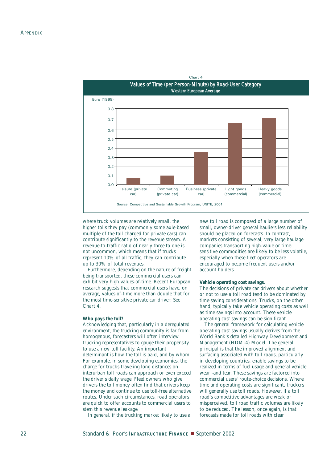

Chart 4 Values of Time (per Person-Minute) by Road-User Category

where truck volumes are relatively small, the higher tolls they pay (commonly some axle-based multiple of the toll charged for private cars) can contribute significantly to the revenue stream. A revenue-to-traffic ratio of nearly three to one is not uncommon, which means that if trucks represent 10% of all traffic, they can contribute up to 30% of total revenues.

Furthermore, depending on the nature of freight being transported, these commercial users can exhibit very high values-of-time. Recent European research suggests that commercial users have, on average, values-of-time more than double that for the most time-sensitive private car driver: See Chart 4.

#### *Who pays the toll?*

Acknowledging that, particularly in a deregulated environment, the trucking community is far from homogenous, forecasters will often interview trucking representatives to gauge their propensity to use a new toll facility. An important determinant is how the toll is paid, and by whom. For example, in some developing economies, the charge for trucks traveling long distances on interurban toll roads can approach or even exceed the driver's daily wage. Fleet owners who give drivers the toll money often find that drivers keep the money and continue to use toll-free alternative routes. Under such circumstances, road operators are quick to offer accounts to commercial users to stem this revenue leakage.

In general, if the trucking market likely to use a

new toll road is composed of a large number of small, owner-driver general hauliers less reliability should be placed on forecasts. In contrast, markets consisting of several, very large haulage companies transporting high-value or timesensitive commodities are likely to be less volatile, especially when these fleet operators are encouraged to become frequent users and/or account holders.

#### *Vehicle operating cost savings.*

The decisions of private car drivers about whether or not to use a toll road tend to be dominated by time-saving considerations. Trucks, on the other hand, typically take vehicle operating costs as well as time savings into account. These vehicle operating cost savings can be significant.

The general framework for calculating vehicle operating cost savings usually derives from the World Bank's detailed Highway Development and Management (HDM-4) Model. The general principal is that the improved alignment and surfacing associated with toll roads, particularly in developing countries, enable savings to be realized in terms of fuel usage and general vehicle wear -and tear. These savings are factored into commercial users' route-choice decisions. Where time and operating costs are significant, truckers will generally use toll roads. However, if a toll road's competitive advantages are weak or misperceived, toll road traffic volumes are likely to be reduced. The lesson, once again, is that forecasts made for toll roads with clear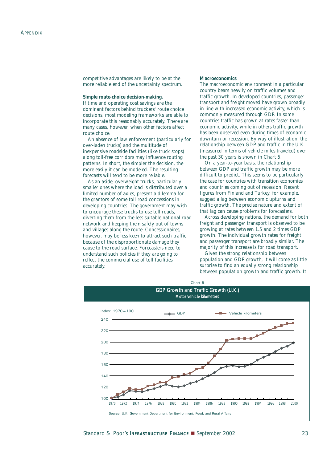competitive advantages are likely to be at the more reliable end of the uncertainty spectrum.

# *Simple route-choice decision-making.*

If time and operating cost savings are the dominant factors behind truckers' route choice decisions, most modeling frameworks are able to incorporate this reasonably accurately. There are many cases, however, when other factors affect route choice.

An absence of law enforcement (particularly for over-laden trucks) and the multitude of inexpensive roadside facilities (like truck stops) along toll-free corridors may influence routing patterns. In short, the simpler the decision, the more easily it can be modeled. The resulting forecasts will tend to be more reliable.

As an aside, overweight trucks, particularly smaller ones where the load is distributed over a limited number of axles, present a dilemma for the grantors of some toll road concessions in developing countries. The government may wish to encourage these trucks to use toll roads, diverting them from the less suitable national road network and keeping them safely out of towns and villages along the route. Concessionaires, however, may be less keen to attract such traffic because of the disproportionate damage they cause to the road surface. Forecasters need to understand such policies if they are going to reflect the commercial use of toll facilities accurately.

#### *Macroeconomics*

The macroeconomic environment in a particular country bears heavily on traffic volumes and traffic growth. In developed countries, passenger transport and freight moved have grown broadly in line with increased economic activity, which is commonly measured through GDP. In some countries traffic has grown at rates faster than economic activity, while in others traffic growth has been observed even during times of economic downturn or recession. By way of illustration, the relationship between GDP and traffic in the U.K. (measured in terms of vehicle miles traveled) over the past 30 years is shown in Chart 5.

On a year-to-year basis, the relationship between GDP and traffic growth may be more difficult to predict. This seems to be particularly the case for countries with transition economies and countries coming out of recession. Recent figures from Finland and Turkey, for example, suggest a lag between economic upturns and traffic growth. The precise nature and extent of that lag can cause problems for forecasters.

Across developing nations, the demand for both freight and passenger transport is observed to be growing at rates between 1.5 and 2 times GDP growth. The individual growth rates for freight and passenger transport are broadly similar. The majority of this increase is for road transport.

Given the strong relationship between population and GDP growth, it will come as little surprise to find an equally strong relationship between population growth and traffic growth. It



Standard & Poor's *INFRASTRUCTURE FINANCE* ■ September 2002 23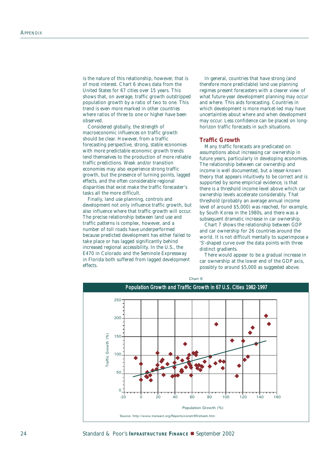is the nature of this relationship, however, that is of most interest. Chart 6 shows data from the United States for 67 cities over 15 years. This shows that, on average, traffic growth outstripped population growth by a ratio of two to one. This trend is even more marked in other countries where ratios of three to one or higher have been observed.

Considered globally, the strength of macroeconomic influences on traffic growth should be clear. However, from a traffic forecasting perspective, strong, stable economies with more predictable economic growth trends lend themselves to the production of more reliable traffic predictions. Weak and/or transition economies may also experience strong traffic growth, but the presence of turning points, lagged effects, and the often considerable regional disparities that exist make the traffic forecaster's tasks all the more difficult.

Finally, land use planning, controls and development not only influence traffic growth, but also influence where that traffic growth will occur. The precise relationship between land use and traffic patterns is complex, however, and a number of toll roads have underperformed because predicted development has either failed to take place or has lagged significantly behind increased regional accessibility. In the U.S., the E470 in Colorado and the Seminole Expressway in Florida both suffered from lagged development effects.

In general, countries that have strong (and therefore more predictable) land use planning regimes present forecasters with a clearer view of what future-year development planning may occur and where. This aids forecasting. Countries in which development is more market-led may have uncertainties about where and when development may occur. Less confidence can be placed on longhorizon traffic forecasts in such situations.

#### *Traffic Growth*

Many traffic forecasts are predicated on assumptions about increasing car ownership in future years, particularly in developing economies. The relationship between car ownership and income is well documented, but a lesser-known theory that appears intuitively to be correct and is supported by some empirical evidence, is that there is a threshold income level above which car ownership levels accelerate considerably. That threshold (probably an average annual income level of around \$5,000) was reached, for example, by South Korea in the 1980s, and there was a subsequent dramatic increase in car ownership.

Chart 7 shows the relationship between GDP and car ownership for 26 countries around the world. It is not difficult mentally to superimpose a 'S'-shaped curve over the data points with three distinct gradients.

There would appear to be a gradual increase in car ownership at the lower end of the GDP axis, possibly to around \$5,000 as suggested above.



#### Chart 6

24 Standard & Poor's *INFRASTRUCTURE FINANCE* September 2002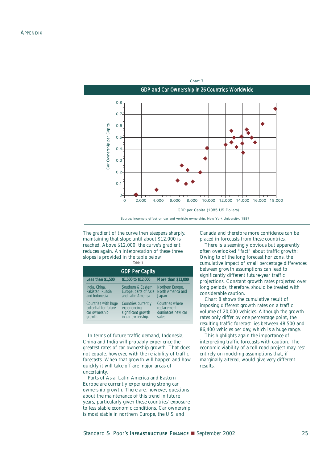

The gradient of the curve then steepens sharply, maintaining that slope until about \$12,000 is reached. Above \$12,000, the curve's gradient reduces again. An interpretation of these three slopes is provided in the table below: Table 1

| <b>GDP Per Capita</b> |                            |                        |  |  |  |  |  |
|-----------------------|----------------------------|------------------------|--|--|--|--|--|
| Less than \$1,500     | \$1,500 to \$12,000        | More than \$12,000     |  |  |  |  |  |
| India, China,         | Southern & Eastern         | Northern Europe,       |  |  |  |  |  |
| Pakistan, Russia      | Europe, parts of Asia      | North America and      |  |  |  |  |  |
| and Indonesia         | and Latin America          | Japan                  |  |  |  |  |  |
| Countries with huge   | <b>Countries currently</b> | <b>Countries where</b> |  |  |  |  |  |
| potential for future  | experiencing               | replacement            |  |  |  |  |  |
| car ownership         | significant growth         | dominates new car      |  |  |  |  |  |
| growth.               | in car ownership.          | sales.                 |  |  |  |  |  |

In terms of future traffic demand, Indonesia, China and India will probably experience the greatest rates of car ownership growth. That does not equate, however, with the reliability of traffic forecasts. When that growth will happen and how quickly it will take off are major areas of uncertainty.

Parts of Asia, Latin America and Eastern Europe are currently experiencing strong car ownership growth. There are, however, questions about the maintenance of this trend in future years, particularly given these countries' exposure to less stable economic conditions. Car ownership is most stable in northern Europe, the U.S. and

Canada and therefore more confidence can be placed in forecasts from these countries.

There is a seemingly obvious but apparently often overlooked "fact" about traffic growth: Owing to of the long forecast horizons, the cumulative impact of small percentage differences between growth assumptions can lead to significantly different future-year traffic projections. Constant growth rates projected over long periods, therefore, should be treated with considerable caution.

Chart 8 shows the cumulative result of imposing different growth rates on a traffic volume of 20,000 vehicles. Although the growth rates only differ by one percentage point, the resulting traffic forecast lies between 48,500 and 86,400 vehicles per day, which is a huge range.

This highlights again the importance of interpreting traffic forecasts with caution. The economic viability of a toll road project may rest entirely on modeling assumptions that, if marginally altered, would give very different results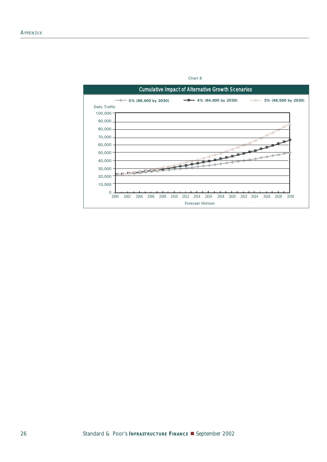

Chart 8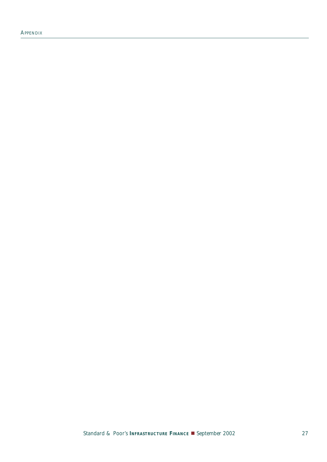**APPENDIX**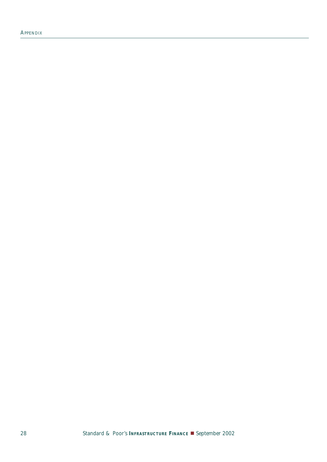APPENDIX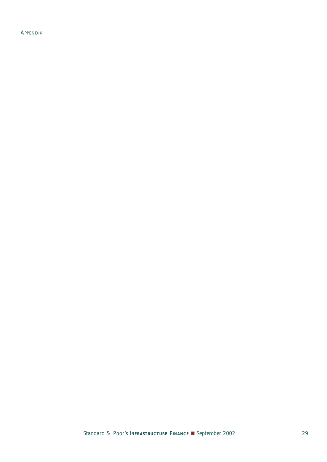**APPENDIX**